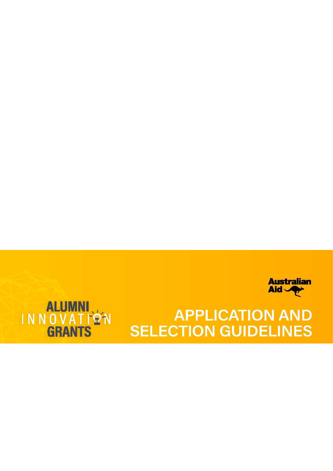



# **APPLICATION AND SELECTION GUIDELINES**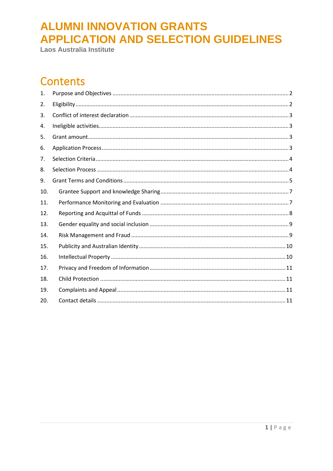Laos Australia Institute

#### **Contents**

| 1.  |  |
|-----|--|
| 2.  |  |
| 3.  |  |
| 4.  |  |
| 5.  |  |
| 6.  |  |
| 7.  |  |
| 8.  |  |
| 9.  |  |
| 10. |  |
| 11. |  |
| 12. |  |
| 13. |  |
| 14. |  |
| 15. |  |
| 16. |  |
| 17. |  |
| 18. |  |
| 19. |  |
| 20. |  |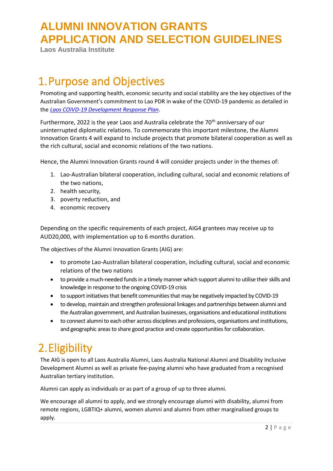**Laos Australia Institute**

### <span id="page-2-0"></span>1.Purpose and Objectives

Promoting and supporting health, economic security and social stability are the key objectives of the Australian Government's commitment to Lao PDR in wake of the COVID-19 pandemic as detailed in the *[Laos COIVD-19 Development Response Plan](https://www.dfat.gov.au/sites/default/files/covid-response-plan-laos.pdf)*.

Furthermore, 2022 is the year Laos and Australia celebrate the 70<sup>th</sup> anniversary of our uninterrupted diplomatic relations. To commemorate this important milestone, the Alumni Innovation Grants 4 will expand to include projects that promote bilateral cooperation as well as the rich cultural, social and economic relations of the two nations.

Hence, the Alumni Innovation Grants round 4 will consider projects under in the themes of:

- 1. Lao-Australian bilateral cooperation, including cultural, social and economic relations of the two nations,
- 2. health security,
- 3. poverty reduction, and
- 4. economic recovery

Depending on the specific requirements of each project, AIG4 grantees may receive up to AUD20,000, with implementation up to 6 months duration.

The objectives of the Alumni Innovation Grants (AIG) are:

- to promote Lao-Australian bilateral cooperation, including cultural, social and economic relations of the two nations
- to provide a much-needed funds in a timely manner which support alumni to utilise their skills and knowledge in response to the ongoing COVID-19 crisis
- to support initiatives that benefit communities that may be negatively impacted by COVID-19
- to develop, maintain and strengthen professional linkages and partnerships between alumni and the Australian government, and Australian businesses, organisations and educational institutions
- to connect alumni to each other across disciplines and professions, organisations and institutions, and geographic areas to share good practice and create opportunities for collaboration.

# <span id="page-2-1"></span>2.Eligibility

The AIG is open to all Laos Australia Alumni, Laos Australia National Alumni and Disability Inclusive Development Alumni as well as private fee-paying alumni who have graduated from a recognised Australian tertiary institution.

Alumni can apply as individuals or as part of a group of up to three alumni.

We encourage all alumni to apply, and we strongly encourage alumni with disability, alumni from remote regions, LGBTIQ+ alumni, women alumni and alumni from other marginalised groups to apply.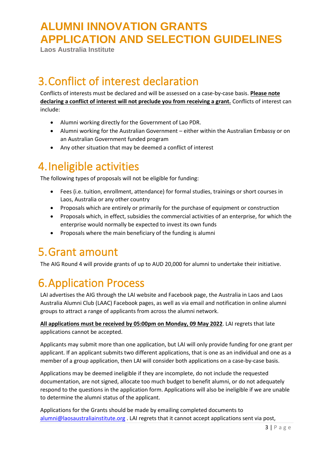**Laos Australia Institute**

### <span id="page-3-0"></span>3.Conflict of interest declaration

Conflicts of interests must be declared and will be assessed on a case-by-case basis. **Please note declaring a conflict of interest will not preclude you from receiving a grant.** Conflicts of interest can include:

- Alumni working directly for the Government of Lao PDR.
- Alumni working for the Australian Government either within the Australian Embassy or on an Australian Government funded program
- Any other situation that may be deemed a conflict of interest

### <span id="page-3-1"></span>4.Ineligible activities

The following types of proposals will not be eligible for funding:

- Fees (i.e. tuition, enrollment, attendance) for formal studies, trainings or short courses in Laos, Australia or any other country
- Proposals which are entirely or primarily for the purchase of equipment or construction
- Proposals which, in effect, subsidies the commercial activities of an enterprise, for which the enterprise would normally be expected to invest its own funds
- Proposals where the main beneficiary of the funding is alumni

#### <span id="page-3-2"></span>5.Grant amount

The AIG Round 4 will provide grants of up to AUD 20,000 for alumni to undertake their initiative.

# <span id="page-3-3"></span>6.Application Process

LAI advertises the AIG through the LAI website and Facebook page, the Australia in Laos and Laos Australia Alumni Club (LAAC) Facebook pages, as well as via email and notification in online alumni groups to attract a range of applicants from across the alumni network.

**All applications must be received by 05:00pm on Monday, 09 May 2022**. LAI regrets that late applications cannot be accepted.

Applicants may submit more than one application, but LAI will only provide funding for one grant per applicant. If an applicant submits two different applications, that is one as an individual and one as a member of a group application, then LAI will consider both applications on a case-by-case basis.

Applications may be deemed ineligible if they are incomplete, do not include the requested documentation, are not signed, allocate too much budget to benefit alumni, or do not adequately respond to the questions in the application form. Applications will also be ineligible if we are unable to determine the alumni status of the applicant.

Applications for the Grants should be made by emailing completed documents to [alumni@laosaustraliainstitute.org](mailto:alumni@laosaustraliainstitute.org) . LAI regrets that it cannot accept applications sent via post,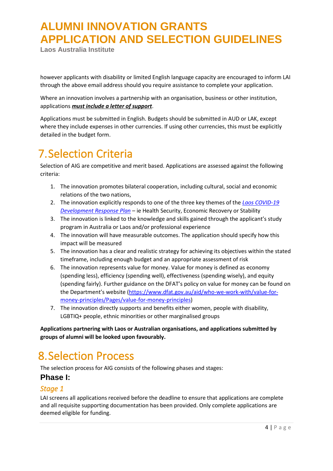**Laos Australia Institute**

however applicants with disability or limited English language capacity are encouraged to inform LAI through the above email address should you require assistance to complete your application.

Where an innovation involves a partnership with an organisation, business or other institution, applications *must include a letter of support*.

Applications must be submitted in English. Budgets should be submitted in AUD or LAK, except where they include expenses in other currencies. If using other currencies, this must be explicitly detailed in the budget form.

#### <span id="page-4-0"></span>7.Selection Criteria

Selection of AIG are competitive and merit based. Applications are assessed against the following criteria:

- 1. The innovation promotes bilateral cooperation, including cultural, social and economic relations of the two nations,
- 2. The innovation explicitly responds to one of the three key themes of the *[Laos COVID-19](https://www.dfat.gov.au/sites/default/files/covid-response-plan-laos.pdf)  [Development Response Plan](https://www.dfat.gov.au/sites/default/files/covid-response-plan-laos.pdf)* – ie Health Security, Economic Recovery or Stability
- 3. The innovation is linked to the knowledge and skills gained through the applicant's study program in Australia or Laos and/or professional experience
- 4. The innovation will have measurable outcomes. The application should specify how this impact will be measured
- 5. The innovation has a clear and realistic strategy for achieving its objectives within the stated timeframe, including enough budget and an appropriate assessment of risk
- 6. The innovation represents value for money. Value for money is defined as economy (spending less), efficiency (spending well), effectiveness (spending wisely), and equity (spending fairly). Further guidance on the DFAT's policy on value for money can be found on the Department's website [\(https://www.dfat.gov.au/aid/who-we-work-with/value-for](https://www.dfat.gov.au/aid/who-we-work-with/value-for-money-principles/Pages/value-for-money-principles)[money-principles/Pages/value-for-money-principles\)](https://www.dfat.gov.au/aid/who-we-work-with/value-for-money-principles/Pages/value-for-money-principles)
- 7. The innovation directly supports and benefits either women, people with disability, LGBTIQ+ people, ethnic minorities or other marginalised groups

**Applications partnering with Laos or Australian organisations, and applications submitted by groups of alumni will be looked upon favourably.** 

#### <span id="page-4-1"></span>8.Selection Process

The selection process for AIG consists of the following phases and stages:

#### **Phase I:**

#### *Stage 1*

LAI screens all applications received before the deadline to ensure that applications are complete and all requisite supporting documentation has been provided. Only complete applications are deemed eligible for funding.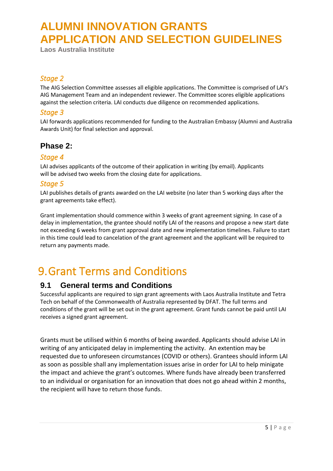**Laos Australia Institute**

#### *Stage 2*

The AIG Selection Committee assesses all eligible applications. The Committee is comprised of LAI's AIG Management Team and an independent reviewer. The Committee scores eligible applications against the selection criteria. LAI conducts due diligence on recommended applications.

#### *Stage 3*

LAI forwards applications recommended for funding to the Australian Embassy (Alumni and Australia Awards Unit) for final selection and approval.

#### **Phase 2:**

#### *Stage 4*

LAI advises applicants of the outcome of their application in writing (by email). Applicants will be advised two weeks from the closing date for applications.

#### *Stage 5*

LAI publishes details of grants awarded on the LAI website (no later than 5 working days after the grant agreements take effect).

Grant implementation should commence within 3 weeks of grant agreement signing. In case of a delay in implementation, the grantee should notify LAI of the reasons and propose a new start date not exceeding 6 weeks from grant approval date and new implementation timelines. Failure to start in this time could lead to cancelation of the grant agreement and the applicant will be required to return any payments made.

#### <span id="page-5-0"></span>9.Grant Terms and Conditions

#### **9.1 General terms and Conditions**

Successful applicants are required to sign grant agreements with Laos Australia Institute and Tetra Tech on behalf of the Commonwealth of Australia represented by DFAT. The full terms and conditions of the grant will be set out in the grant agreement. Grant funds cannot be paid until LAI receives a signed grant agreement.

Grants must be utilised within 6 months of being awarded. Applicants should advise LAI in writing of any anticipated delay in implementing the activity. An extention may be requested due to unforeseen circumstances (COVID or others). Grantees should inform LAI as soon as possible shall any implementation issues arise in order for LAI to help minigate the impact and achieve the grant's outcomes. Where funds have already been transferred to an individual or organisation for an innovation that does not go ahead within 2 months, the recipient will have to return those funds.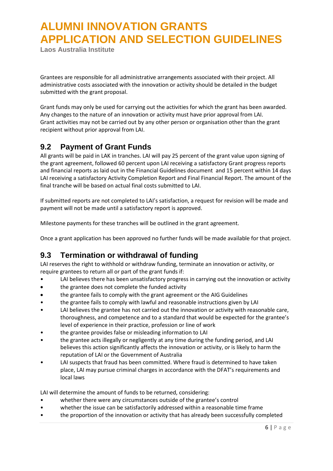**Laos Australia Institute**

Grantees are responsible for all administrative arrangements associated with their project. All administrative costs associated with the innovation or activity should be detailed in the budget submitted with the grant proposal.

Grant funds may only be used for carrying out the activities for which the grant has been awarded. Any changes to the nature of an innovation or activity must have prior approval from LAI. Grant activities may not be carried out by any other person or organisation other than the grant recipient without prior approval from LAI.

#### **9.2 Payment of Grant Funds**

All grants will be paid in LAK in tranches. LAI will pay 25 percent of the grant value upon signing of the grant agreement, followed 60 percent upon LAI receiving a satisfactory Grant progress reports and financial reports as laid out in the Financial Guidelines document and 15 percent within 14 days LAI receiving a satisfactory Activity Completion Report and Final Financial Report. The amount of the final tranche will be based on actual final costs submitted to LAI.

If submitted reports are not completed to LAI's satisfaction, a request for revision will be made and payment will not be made until a satisfactory report is approved.

Milestone payments for these tranches will be outlined in the grant agreement.

Once a grant application has been approved no further funds will be made available for that project.

#### **9.3 Termination or withdrawal of funding**

LAI reserves the right to withhold or withdraw funding, terminate an innovation or activity, or require grantees to return all or part of the grant funds if:

- LAI believes there has been unsatisfactory progress in carrying out the innovation or activity
- the grantee does not complete the funded activity
- the grantee fails to comply with the grant agreement or the AIG Guidelines
- the grantee fails to comply with lawful and reasonable instructions given by LAI
- LAI believes the grantee has not carried out the innovation or activity with reasonable care, thoroughness, and competence and to a standard that would be expected for the grantee's level of experience in their practice, profession or line of work
- the grantee provides false or misleading information to LAI
- the grantee acts illegally or negligently at any time during the funding period, and LAI believes this action significantly affects the innovation or activity, or is likely to harm the reputation of LAI or the Government of Australia
- LAI suspects that fraud has been committed. Where fraud is determined to have taken place, LAI may pursue criminal charges in accordance with the DFAT's requirements and local laws

LAI will determine the amount of funds to be returned, considering:

- whether there were any circumstances outside of the grantee's control
- whether the issue can be satisfactorily addressed within a reasonable time frame
- the proportion of the innovation or activity that has already been successfully completed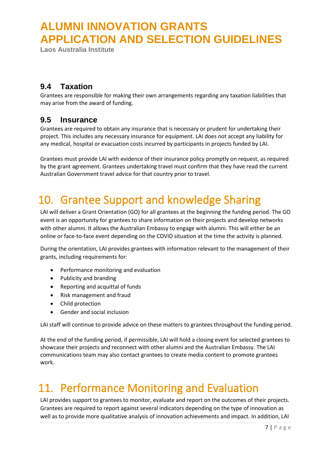**Laos Australia Institute**

#### **9.4 Taxation**

Grantees are responsible for making their own arrangements regarding any taxation liabilities that may arise from the award of funding.

#### **9.5 Insurance**

Grantees are required to obtain any insurance that is necessary or prudent for undertaking their project. This includes any necessary insurance for equipment. LAI does not accept any liability for any medical, hospital or evacuation costs incurred by participants in projects funded by LAI.

Grantees must provide LAI with evidence of their insurance policy promptly on request, as required by the grant agreement. Grantees undertaking travel must confirm that they have read the current Australian Government travel advice for that country prior to travel.

# <span id="page-7-0"></span>10. Grantee Support and knowledge Sharing

LAI will deliver a Grant Orientation (GO) for all grantees at the beginning the funding period. The GO event is an opportunity for grantees to share information on their projects and develop networks with other alumni. It allows the Australian Embassy to engage with alumni. This will either be an online or face-to-face event depending on the COVID situation at the time the activity is planned.

During the orientation, LAI provides grantees with information relevant to the management of their grants, including requirements for:

- Performance monitoring and evaluation
- Publicity and branding
- Reporting and acquittal of funds
- Risk management and fraud
- Child protection
- Gender and social inclusion

LAI staff will continue to provide advice on these matters to grantees throughout the funding period.

At the end of the funding period, if permissible, LAI will hold a closing event for selected grantees to showcase their projects and reconnect with other alumni and the Australian Embassy. The LAI communications team may also contact grantees to create media content to promote grantees work.

### <span id="page-7-1"></span>11. Performance Monitoring and Evaluation

LAI provides support to grantees to monitor, evaluate and report on the outcomes of their projects. Grantees are required to report against several indicators depending on the type of innovation as well as to provide more qualitative analysis of innovation achievements and impact. In addition, LAI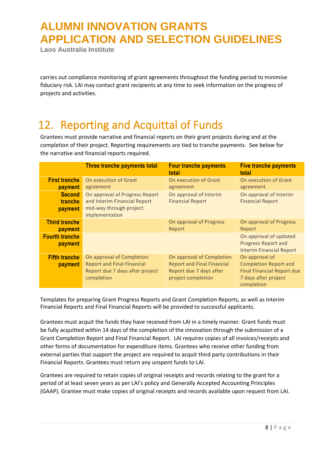**Laos Australia Institute**

carries out compliance monitoring of grant agreements throughout the funding period to minimise fiduciary risk. LAI may contact grant recipients at any time to seek information on the progress of projects and activities.

# <span id="page-8-0"></span>12. Reporting and Acquittal of Funds

Grantees must provide narrative and financial reports on their grant projects during and at the completion of their project. Reporting requirements are tied to tranche payments. See below for the narrative and financial reports required.

|                                        | Three tranche payments total                                                                                    | <b>Four tranche payments</b><br>total                                                                           | <b>Five tranche payments</b><br>total                                                                                     |
|----------------------------------------|-----------------------------------------------------------------------------------------------------------------|-----------------------------------------------------------------------------------------------------------------|---------------------------------------------------------------------------------------------------------------------------|
| <b>First tranche</b><br><b>payment</b> | On execution of Grant<br>agreement                                                                              | On execution of Grant<br>agreement                                                                              | On execution of Grant<br>agreement                                                                                        |
| <b>Second</b><br>tranche<br>payment    | On approval of Progress Report<br>and Interim Financial Report<br>mid-way through project<br>implementation     | On approval of Interim<br><b>Financial Report</b>                                                               | On approval of Interim<br><b>Financial Report</b>                                                                         |
| <b>Third tranche</b><br>payment        |                                                                                                                 | On approval of Progress<br>Report                                                                               | On approval of Progress<br>Report                                                                                         |
| <b>Fourth tranche</b><br>payment       |                                                                                                                 |                                                                                                                 | On approval of updated<br><b>Progress Report and</b><br><b>Interim Financial Report</b>                                   |
| <b>Fifth tranche</b><br>payment        | On approval of Completion<br><b>Report and Final Financial</b><br>Report due 7 days after project<br>completion | On approval of Completion<br><b>Report and Final Financial</b><br>Report due 7 days after<br>project completion | On approval of<br><b>Completion Report and</b><br><b>Final Financial Report due</b><br>7 days after project<br>completion |

Templates for preparing Grant Progress Reports and Grant Completion Reports, as well as Interim Financial Reports and Final Financial Reports will be provided to successful applicants.

Grantees must acquit the funds they have received from LAI in a timely manner. Grant funds must be fully acquitted within 14 days of the completion of the innovation through the submission of a Grant Completion Report and Final Financial Report. LAI requires copies of all invoices/receipts and other forms of documentation for expenditure items. Grantees who receive other funding from external parties that support the project are required to acquit third party contributions in their Financial Reports. Grantees must return any unspent funds to LAI.

Grantees are required to retain copies of original receipts and records relating to the grant for a period of at least seven years as per LAI's policy and Generally Accepted Accounting Principles (GAAP). Grantee must make copies of original receipts and records available upon request from LAI.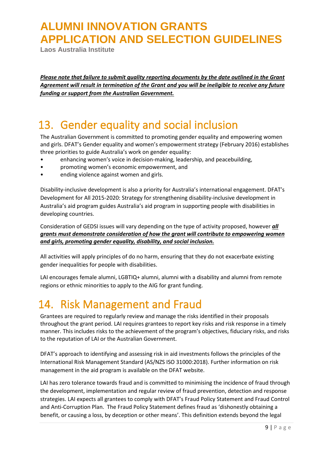**Laos Australia Institute**

*Please note that failure to submit quality reporting documents by the date outlined in the Grant Agreement will result in termination of the Grant and you will be ineligible to receive any future funding or support from the Australian Government.* 

#### <span id="page-9-0"></span>13. Gender equality and social inclusion

The Australian Government is committed to promoting gender equality and empowering women and girls. DFAT's Gender equality and women's empowerment strategy (February 2016) establishes three priorities to guide Australia's work on gender equality:

- enhancing women's voice in decision-making, leadership, and peacebuilding,
- promoting women's economic empowerment, and
- ending violence against women and girls.

Disability-inclusive development is also a priority for Australia's international engagement. DFAT's Development for All 2015-2020: Strategy for strengthening disability-inclusive development in Australia's aid program guides Australia's aid program in supporting people with disabilities in developing countries.

Consideration of GEDSI issues will vary depending on the type of activity proposed, however *all grants must demonstrate consideration of how the grant will contribute to empowering women and girls, promoting gender equality, disability, and social inclusion.*

All activities will apply principles of do no harm, ensuring that they do not exacerbate existing gender inequalities for people with disabilities.

LAI encourages female alumni, LGBTIQ+ alumni, alumni with a disability and alumni from remote regions or ethnic minorities to apply to the AIG for grant funding.

#### <span id="page-9-1"></span>14. Risk Management and Fraud

Grantees are required to regularly review and manage the risks identified in their proposals throughout the grant period. LAI requires grantees to report key risks and risk response in a timely manner. This includes risks to the achievement of the program's objectives, fiduciary risks, and risks to the reputation of LAI or the Australian Government.

DFAT's approach to identifying and assessing risk in aid investments follows the principles of the International Risk Management Standard (AS/NZS ISO 31000:2018). Further information on risk management in the aid program is available on the DFAT website.

LAI has zero tolerance towards fraud and is committed to minimising the incidence of fraud through the development, implementation and regular review of fraud prevention, detection and response strategies. LAI expects all grantees to comply with DFAT's Fraud Policy Statement and Fraud Control and Anti-Corruption Plan. The Fraud Policy Statement defines fraud as 'dishonestly obtaining a benefit, or causing a loss, by deception or other means'. This definition extends beyond the legal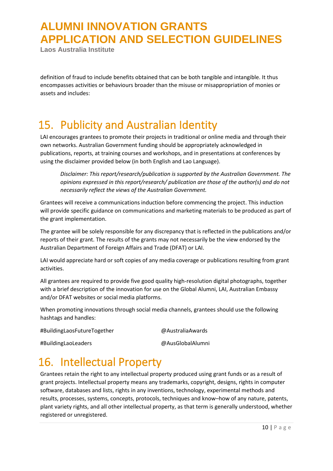**Laos Australia Institute**

definition of fraud to include benefits obtained that can be both tangible and intangible. It thus encompasses activities or behaviours broader than the misuse or misappropriation of monies or assets and includes:

### <span id="page-10-0"></span>15. Publicity and Australian Identity

LAI encourages grantees to promote their projects in traditional or online media and through their own networks. Australian Government funding should be appropriately acknowledged in publications, reports, at training courses and workshops, and in presentations at conferences by using the disclaimer provided below (in both English and Lao Language).

*Disclaimer: This report/research/publication is supported by the Australian Government. The opinions expressed in this report/research/ publication are those of the author(s) and do not necessarily reflect the views of the Australian Government.*

Grantees will receive a communications induction before commencing the project. This induction will provide specific guidance on communications and marketing materials to be produced as part of the grant implementation.

The grantee will be solely responsible for any discrepancy that is reflected in the publications and/or reports of their grant. The results of the grants may not necessarily be the view endorsed by the Australian Department of Foreign Affairs and Trade (DFAT) or LAI.

LAI would appreciate hard or soft copies of any media coverage or publications resulting from grant activities.

All grantees are required to provide five good quality high-resolution digital photographs, together with a brief description of the innovation for use on the Global Alumni, LAI, Australian Embassy and/or DFAT websites or social media platforms.

When promoting innovations through social media channels, grantees should use the following hashtags and handles:

#BuildingLaosFutureTogether @AustraliaAwards

#BuildingLaoLeaders @AusGlobalAlumni

# <span id="page-10-1"></span>16. Intellectual Property

Grantees retain the right to any intellectual property produced using grant funds or as a result of grant projects. Intellectual property means any trademarks, copyright, designs, rights in computer software, databases and lists, rights in any inventions, technology, experimental methods and results, processes, systems, concepts, protocols, techniques and know–how of any nature, patents, plant variety rights, and all other intellectual property, as that term is generally understood, whether registered or unregistered.